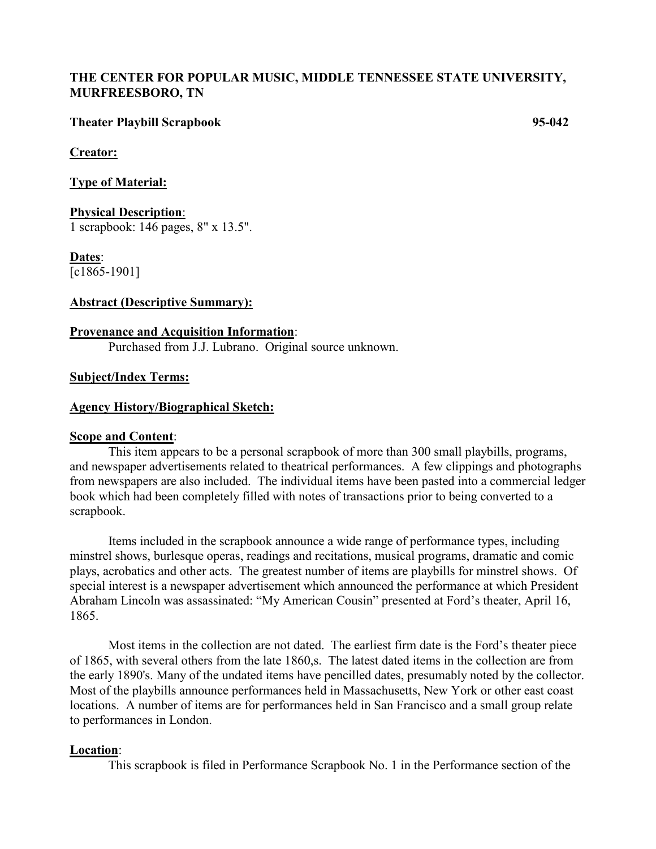### **THE CENTER FOR POPULAR MUSIC, MIDDLE TENNESSEE STATE UNIVERSITY, MURFREESBORO, TN**

#### **Theater Playbill Scrapbook 95-042**

#### **Creator:**

**Type of Material:**

### **Physical Description**:

1 scrapbook: 146 pages, 8" x 13.5".

### **Dates**:

[c1865-1901]

#### **Abstract (Descriptive Summary):**

#### **Provenance and Acquisition Information**:

Purchased from J.J. Lubrano. Original source unknown.

#### **Subject/Index Terms:**

#### **Agency History/Biographical Sketch:**

#### **Scope and Content**:

This item appears to be a personal scrapbook of more than 300 small playbills, programs, and newspaper advertisements related to theatrical performances. A few clippings and photographs from newspapers are also included. The individual items have been pasted into a commercial ledger book which had been completely filled with notes of transactions prior to being converted to a scrapbook.

Items included in the scrapbook announce a wide range of performance types, including minstrel shows, burlesque operas, readings and recitations, musical programs, dramatic and comic plays, acrobatics and other acts. The greatest number of items are playbills for minstrel shows. Of special interest is a newspaper advertisement which announced the performance at which President Abraham Lincoln was assassinated: "My American Cousin" presented at Ford's theater, April 16, 1865.

Most items in the collection are not dated. The earliest firm date is the Ford's theater piece of 1865, with several others from the late 1860,s. The latest dated items in the collection are from the early 1890's. Many of the undated items have pencilled dates, presumably noted by the collector. Most of the playbills announce performances held in Massachusetts, New York or other east coast locations. A number of items are for performances held in San Francisco and a small group relate to performances in London.

#### **Location**:

This scrapbook is filed in Performance Scrapbook No. 1 in the Performance section of the